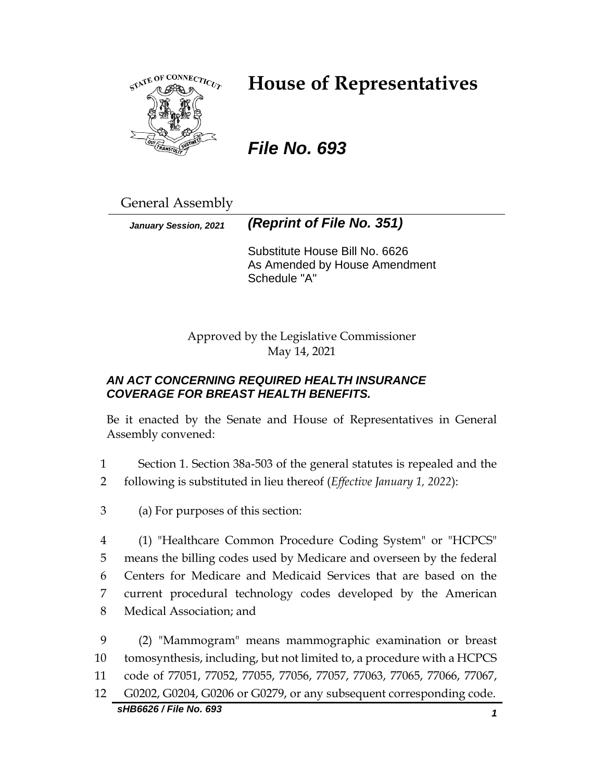

# **House of Representatives**

## *File No. 693*

General Assembly

*January Session, 2021 (Reprint of File No. 351)*

Substitute House Bill No. 6626 As Amended by House Amendment Schedule "A"

Approved by the Legislative Commissioner May 14, 2021

## *AN ACT CONCERNING REQUIRED HEALTH INSURANCE COVERAGE FOR BREAST HEALTH BENEFITS.*

Be it enacted by the Senate and House of Representatives in General Assembly convened:

1 Section 1. Section 38a-503 of the general statutes is repealed and the 2 following is substituted in lieu thereof (*Effective January 1, 2022*):

3 (a) For purposes of this section:

 (1) "Healthcare Common Procedure Coding System" or "HCPCS" means the billing codes used by Medicare and overseen by the federal Centers for Medicare and Medicaid Services that are based on the current procedural technology codes developed by the American Medical Association; and

 (2) "Mammogram" means mammographic examination or breast tomosynthesis, including, but not limited to, a procedure with a HCPCS code of 77051, 77052, 77055, 77056, 77057, 77063, 77065, 77066, 77067, G0202, G0204, G0206 or G0279, or any subsequent corresponding code.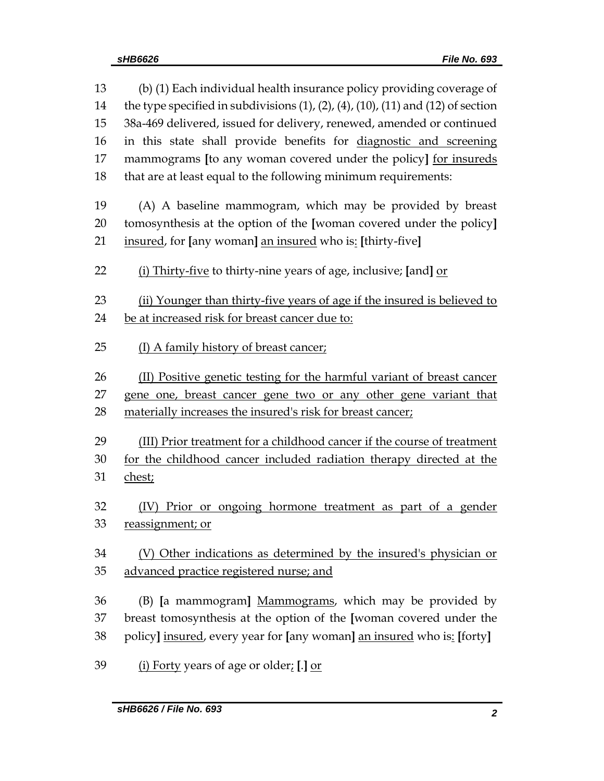| 13 | (b) (1) Each individual health insurance policy providing coverage of                            |  |  |  |
|----|--------------------------------------------------------------------------------------------------|--|--|--|
| 14 | the type specified in subdivisions $(1)$ , $(2)$ , $(4)$ , $(10)$ , $(11)$ and $(12)$ of section |  |  |  |
| 15 | 38a-469 delivered, issued for delivery, renewed, amended or continued                            |  |  |  |
| 16 | in this state shall provide benefits for diagnostic and screening                                |  |  |  |
| 17 | mammograms [to any woman covered under the policy] for insureds                                  |  |  |  |
| 18 | that are at least equal to the following minimum requirements:                                   |  |  |  |
| 19 | (A) A baseline mammogram, which may be provided by breast                                        |  |  |  |
| 20 | tomosynthesis at the option of the [woman covered under the policy]                              |  |  |  |
| 21 | insured, for [any woman] an insured who is: [thirty-five]                                        |  |  |  |
| 22 | (i) Thirty-five to thirty-nine years of age, inclusive; [and] or                                 |  |  |  |
| 23 | (ii) Younger than thirty-five years of age if the insured is believed to                         |  |  |  |
| 24 | be at increased risk for breast cancer due to:                                                   |  |  |  |
| 25 | (I) A family history of breast cancer;                                                           |  |  |  |
| 26 | (II) Positive genetic testing for the harmful variant of breast cancer                           |  |  |  |
| 27 | gene one, breast cancer gene two or any other gene variant that                                  |  |  |  |
| 28 | materially increases the insured's risk for breast cancer;                                       |  |  |  |
|    |                                                                                                  |  |  |  |
| 29 | (III) Prior treatment for a childhood cancer if the course of treatment                          |  |  |  |
| 30 | for the childhood cancer included radiation therapy directed at the                              |  |  |  |
| 31 | <u>chest;</u>                                                                                    |  |  |  |
| 32 | Prior or ongoing hormone treatment as part of a gender<br>(IV)                                   |  |  |  |
| 33 | reassignment; or                                                                                 |  |  |  |
|    |                                                                                                  |  |  |  |
| 34 | (V) Other indications as determined by the insured's physician or                                |  |  |  |
| 35 | advanced practice registered nurse; and                                                          |  |  |  |
| 36 | (B) [a mammogram] Mammograms, which may be provided by                                           |  |  |  |
| 37 | breast tomosynthesis at the option of the [woman covered under the                               |  |  |  |
| 38 | policy] insured, every year for [any woman] an insured who is: [forty]                           |  |  |  |
| 39 | (i) Forty years of age or older; [.] or                                                          |  |  |  |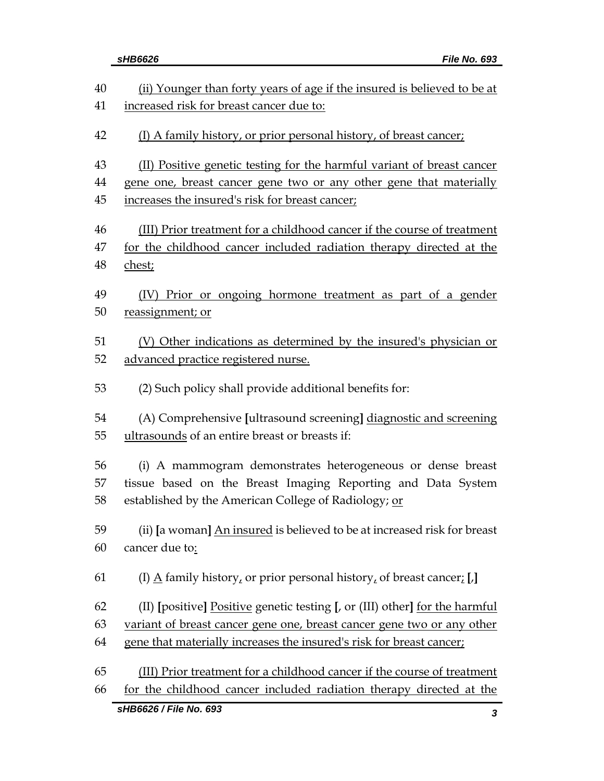|    | File No. 693<br>sHB6626                                                     |
|----|-----------------------------------------------------------------------------|
| 40 | (ii) Younger than forty years of age if the insured is believed to be at    |
| 41 | increased risk for breast cancer due to:                                    |
| 42 | (I) A family history, or prior personal history, of breast cancer;          |
| 43 | (II) Positive genetic testing for the harmful variant of breast cancer      |
| 44 | gene one, breast cancer gene two or any other gene that materially          |
| 45 | increases the insured's risk for breast cancer;                             |
| 46 | (III) Prior treatment for a childhood cancer if the course of treatment     |
| 47 | for the childhood cancer included radiation therapy directed at the         |
| 48 | chest;                                                                      |
| 49 | (IV) Prior or ongoing hormone treatment as part of a gender                 |
| 50 | reassignment; or                                                            |
| 51 | (V) Other indications as determined by the insured's physician or           |
| 52 | advanced practice registered nurse.                                         |
| 53 | (2) Such policy shall provide additional benefits for:                      |
| 54 | (A) Comprehensive [ultrasound screening] diagnostic and screening           |
| 55 | ultrasounds of an entire breast or breasts if:                              |
|    |                                                                             |
| 56 | (i) A mammogram demonstrates heterogeneous or dense breast                  |
| 57 | tissue based on the Breast Imaging Reporting and Data System                |
| 58 | established by the American College of Radiology; or                        |
| 59 | (ii) [a woman] An insured is believed to be at increased risk for breast    |
| 60 | cancer due to:                                                              |
|    |                                                                             |
| 61 | (I) A family history, or prior personal history, of breast cancer; [,]      |
| 62 | (II) [positive] Positive genetic testing [, or (III) other] for the harmful |
| 63 | variant of breast cancer gene one, breast cancer gene two or any other      |
| 64 | gene that materially increases the insured's risk for breast cancer;        |
|    |                                                                             |
| 65 | (III) Prior treatment for a childhood cancer if the course of treatment     |
| 66 | for the childhood cancer included radiation therapy directed at the         |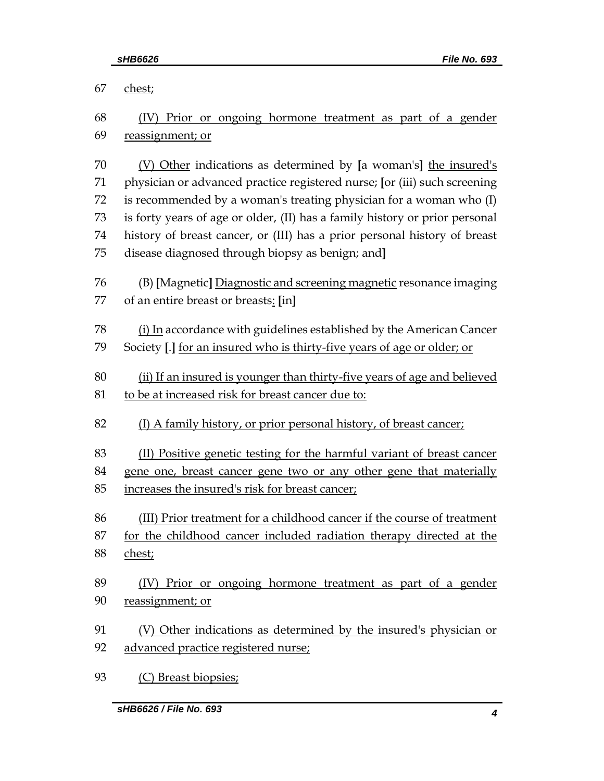| 67       | chest;                                                                                                                                         |
|----------|------------------------------------------------------------------------------------------------------------------------------------------------|
| 68       | (IV) Prior or ongoing hormone treatment as part of a gender                                                                                    |
| 69       | reassignment; or                                                                                                                               |
|          |                                                                                                                                                |
| 70       | (V) Other indications as determined by [a woman's] the insured's                                                                               |
| 71       | physician or advanced practice registered nurse; [or (iii) such screening                                                                      |
| 72       | is recommended by a woman's treating physician for a woman who (I)                                                                             |
| 73       | is forty years of age or older, (II) has a family history or prior personal                                                                    |
| 74       | history of breast cancer, or (III) has a prior personal history of breast                                                                      |
| 75       | disease diagnosed through biopsy as benign; and]                                                                                               |
| 76       | (B) [Magnetic] Diagnostic and screening magnetic resonance imaging                                                                             |
| 77       | of an entire breast or breasts: [in]                                                                                                           |
|          |                                                                                                                                                |
| 78       | (i) In accordance with guidelines established by the American Cancer                                                                           |
| 79       | Society [.] for an insured who is thirty-five years of age or older; or                                                                        |
| 80       | (ii) If an insured is younger than thirty-five years of age and believed                                                                       |
| 81       | to be at increased risk for breast cancer due to:                                                                                              |
|          |                                                                                                                                                |
| 82       | (I) A family history, or prior personal history, of breast cancer;                                                                             |
| 83       | (II) Positive genetic testing for the harmful variant of breast cancer                                                                         |
| 84       | gene one, breast cancer gene two or any other gene that materially                                                                             |
| 85       | increases the insured's risk for breast cancer;                                                                                                |
|          |                                                                                                                                                |
| 86<br>87 | (III) Prior treatment for a childhood cancer if the course of treatment<br>for the childhood cancer included radiation therapy directed at the |
| 88       | chest;                                                                                                                                         |
|          |                                                                                                                                                |
| 89       | (IV) Prior or ongoing hormone treatment as part of a gender                                                                                    |
| 90       | reassignment; or                                                                                                                               |
| 91       |                                                                                                                                                |
|          | (V) Other indications as determined by the insured's physician or                                                                              |
| 92       | advanced practice registered nurse;                                                                                                            |
| 93       | (C) Breast biopsies;                                                                                                                           |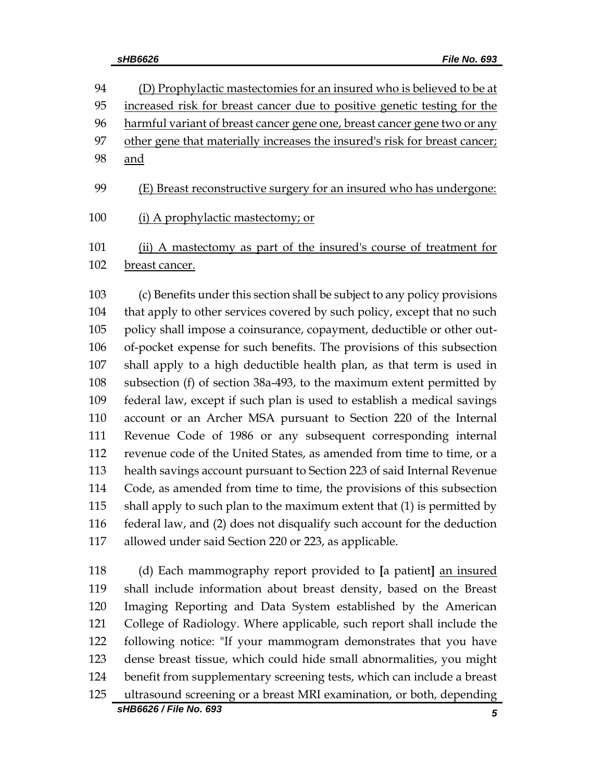| 94  | (D) Prophylactic mastectomies for an insured who is believed to be at      |
|-----|----------------------------------------------------------------------------|
| 95  | increased risk for breast cancer due to positive genetic testing for the   |
| 96  | harmful variant of breast cancer gene one, breast cancer gene two or any   |
| 97  | other gene that materially increases the insured's risk for breast cancer; |
| 98  | and                                                                        |
| 99  | (E) Breast reconstructive surgery for an insured who has undergone:        |
| 100 | (i) A prophylactic mastectomy; or                                          |

101 (ii) A mastectomy as part of the insured's course of treatment for 102 breast cancer.

 (c) Benefits under this section shall be subject to any policy provisions that apply to other services covered by such policy, except that no such policy shall impose a coinsurance, copayment, deductible or other out- of-pocket expense for such benefits. The provisions of this subsection shall apply to a high deductible health plan, as that term is used in subsection (f) of section 38a-493, to the maximum extent permitted by federal law, except if such plan is used to establish a medical savings account or an Archer MSA pursuant to Section 220 of the Internal Revenue Code of 1986 or any subsequent corresponding internal revenue code of the United States, as amended from time to time, or a health savings account pursuant to Section 223 of said Internal Revenue Code, as amended from time to time, the provisions of this subsection shall apply to such plan to the maximum extent that (1) is permitted by federal law, and (2) does not disqualify such account for the deduction allowed under said Section 220 or 223, as applicable.

*sHB6626 / File No. 693 5* (d) Each mammography report provided to **[**a patient**]** an insured shall include information about breast density, based on the Breast Imaging Reporting and Data System established by the American College of Radiology. Where applicable, such report shall include the following notice: "If your mammogram demonstrates that you have dense breast tissue, which could hide small abnormalities, you might benefit from supplementary screening tests, which can include a breast ultrasound screening or a breast MRI examination, or both, depending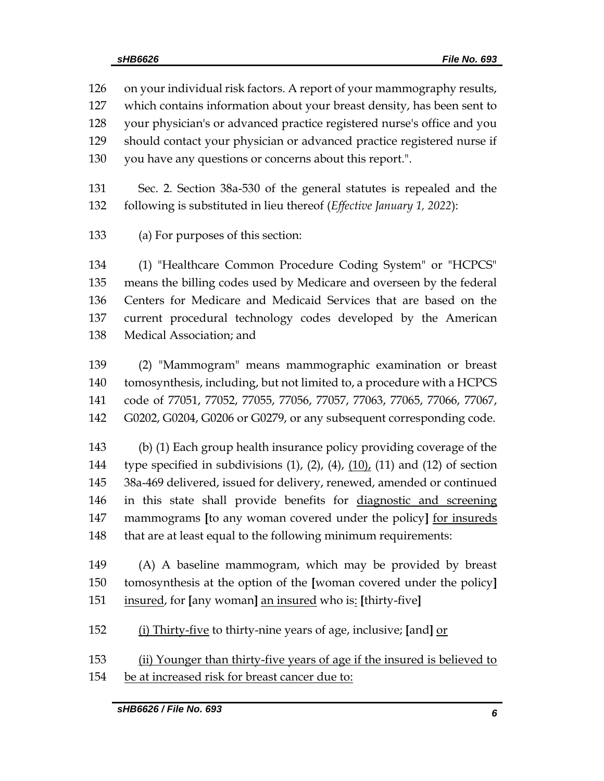on your individual risk factors. A report of your mammography results, which contains information about your breast density, has been sent to your physician's or advanced practice registered nurse's office and you should contact your physician or advanced practice registered nurse if you have any questions or concerns about this report.".

 Sec. 2. Section 38a-530 of the general statutes is repealed and the following is substituted in lieu thereof (*Effective January 1, 2022*):

(a) For purposes of this section:

 (1) "Healthcare Common Procedure Coding System" or "HCPCS" means the billing codes used by Medicare and overseen by the federal Centers for Medicare and Medicaid Services that are based on the current procedural technology codes developed by the American Medical Association; and

 (2) "Mammogram" means mammographic examination or breast tomosynthesis, including, but not limited to, a procedure with a HCPCS code of 77051, 77052, 77055, 77056, 77057, 77063, 77065, 77066, 77067, G0202, G0204, G0206 or G0279, or any subsequent corresponding code.

 (b) (1) Each group health insurance policy providing coverage of the 144 type specified in subdivisions  $(1)$ ,  $(2)$ ,  $(4)$ ,  $(10)$ ,  $(11)$  and  $(12)$  of section 38a-469 delivered, issued for delivery, renewed, amended or continued in this state shall provide benefits for diagnostic and screening mammograms **[**to any woman covered under the policy**]** for insureds 148 that are at least equal to the following minimum requirements:

 (A) A baseline mammogram, which may be provided by breast tomosynthesis at the option of the **[**woman covered under the policy**]** insured, for **[**any woman**]** an insured who is: **[**thirty-five**]**

(i) Thirty-five to thirty-nine years of age, inclusive; **[**and**]** or

(ii) Younger than thirty-five years of age if the insured is believed to

be at increased risk for breast cancer due to: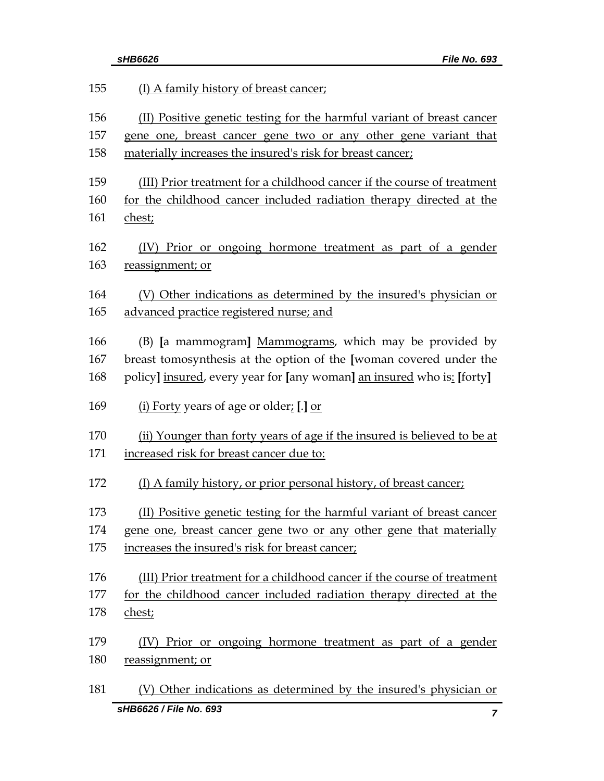|     | sHB6626<br>File No. 693                                                  |  |  |  |
|-----|--------------------------------------------------------------------------|--|--|--|
| 155 | (I) A family history of breast cancer;                                   |  |  |  |
| 156 | (II) Positive genetic testing for the harmful variant of breast cancer   |  |  |  |
| 157 | gene one, breast cancer gene two or any other gene variant that          |  |  |  |
| 158 | materially increases the insured's risk for breast cancer;               |  |  |  |
| 159 | (III) Prior treatment for a childhood cancer if the course of treatment  |  |  |  |
| 160 | for the childhood cancer included radiation therapy directed at the      |  |  |  |
| 161 | chest;                                                                   |  |  |  |
| 162 | (IV) Prior or ongoing hormone treatment as part of a gender              |  |  |  |
| 163 | reassignment; or                                                         |  |  |  |
| 164 | (V) Other indications as determined by the insured's physician or        |  |  |  |
| 165 | advanced practice registered nurse; and                                  |  |  |  |
| 166 | (B) [a mammogram] Mammograms, which may be provided by                   |  |  |  |
| 167 | breast tomosynthesis at the option of the [woman covered under the       |  |  |  |
| 168 | policy] insured, every year for [any woman] an insured who is: [forty]   |  |  |  |
| 169 | (i) Forty years of age or older. [.] or                                  |  |  |  |
| 170 | (ii) Younger than forty years of age if the insured is believed to be at |  |  |  |
| 171 | increased risk for breast cancer due to:                                 |  |  |  |
| 172 | (I) A family history, or prior personal history, of breast cancer;       |  |  |  |
| 173 | (II) Positive genetic testing for the harmful variant of breast cancer   |  |  |  |
| 174 | gene one, breast cancer gene two or any other gene that materially       |  |  |  |
| 175 | increases the insured's risk for breast cancer;                          |  |  |  |
| 176 | (III) Prior treatment for a childhood cancer if the course of treatment  |  |  |  |
| 177 | for the childhood cancer included radiation therapy directed at the      |  |  |  |
| 178 | chest;                                                                   |  |  |  |
| 179 | Prior or ongoing hormone treatment as part of a gender<br>(IV)           |  |  |  |
| 180 | reassignment; or                                                         |  |  |  |
| 181 | Other indications as determined by the insured's physician or            |  |  |  |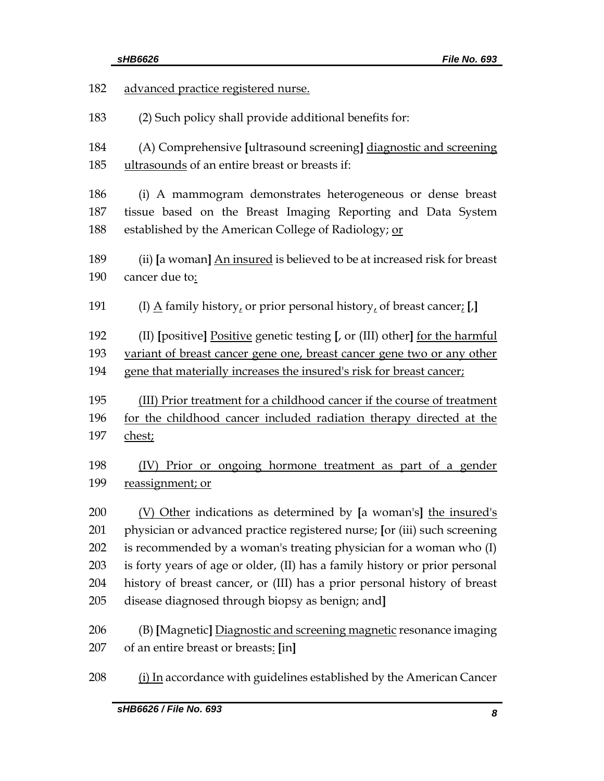| 182        | advanced practice registered nurse.                                                                                  |  |  |
|------------|----------------------------------------------------------------------------------------------------------------------|--|--|
| 183        | (2) Such policy shall provide additional benefits for:                                                               |  |  |
| 184        | (A) Comprehensive [ultrasound screening] diagnostic and screening                                                    |  |  |
| 185        | ultrasounds of an entire breast or breasts if:                                                                       |  |  |
| 186        | (i) A mammogram demonstrates heterogeneous or dense breast                                                           |  |  |
| 187<br>188 | tissue based on the Breast Imaging Reporting and Data System<br>established by the American College of Radiology; or |  |  |
| 189<br>190 | (ii) [a woman] An insured is believed to be at increased risk for breast<br>cancer due to:                           |  |  |
| 191        | (I) $\underline{A}$ family history, or prior personal history, of breast cancer; [J]                                 |  |  |
| 192        | (II) [positive] Positive genetic testing [, or (III) other] for the harmful                                          |  |  |
| 193        | variant of breast cancer gene one, breast cancer gene two or any other                                               |  |  |
| 194        | gene that materially increases the insured's risk for breast cancer;                                                 |  |  |
| 195        | (III) Prior treatment for a childhood cancer if the course of treatment                                              |  |  |
| 196        | for the childhood cancer included radiation therapy directed at the                                                  |  |  |
| 197        | chest;                                                                                                               |  |  |
| 198        | (IV) Prior or ongoing hormone treatment as part of a gender                                                          |  |  |
| 199        | reassignment; or                                                                                                     |  |  |
| 200        | (V) Other indications as determined by [a woman's] the insured's                                                     |  |  |
| 201        | physician or advanced practice registered nurse; [or (iii) such screening                                            |  |  |
| 202        | is recommended by a woman's treating physician for a woman who (I)                                                   |  |  |
| 203        | is forty years of age or older, (II) has a family history or prior personal                                          |  |  |
| 204        | history of breast cancer, or (III) has a prior personal history of breast                                            |  |  |
| 205        | disease diagnosed through biopsy as benign; and]                                                                     |  |  |
| 206        | (B) [Magnetic] Diagnostic and screening magnetic resonance imaging                                                   |  |  |
| 207        | of an entire breast or breasts: [in]                                                                                 |  |  |
| 208        | (i) In accordance with guidelines established by the American Cancer                                                 |  |  |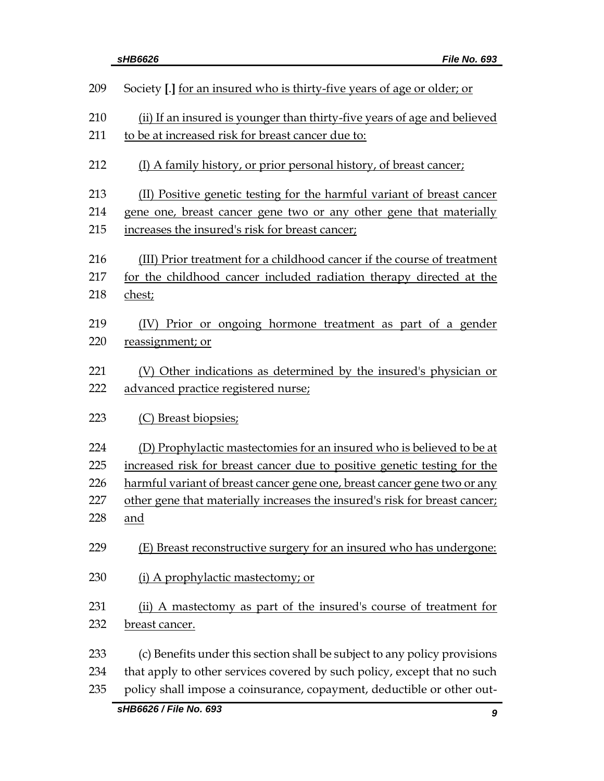| 209 | Society [.] for an insured who is thirty-five years of age or older; or    |  |  |
|-----|----------------------------------------------------------------------------|--|--|
| 210 | (ii) If an insured is younger than thirty-five years of age and believed   |  |  |
| 211 | to be at increased risk for breast cancer due to:                          |  |  |
| 212 | (I) A family history, or prior personal history, of breast cancer;         |  |  |
| 213 | (II) Positive genetic testing for the harmful variant of breast cancer     |  |  |
| 214 | gene one, breast cancer gene two or any other gene that materially         |  |  |
| 215 | increases the insured's risk for breast cancer;                            |  |  |
| 216 | (III) Prior treatment for a childhood cancer if the course of treatment    |  |  |
| 217 | for the childhood cancer included radiation therapy directed at the        |  |  |
| 218 | chest;                                                                     |  |  |
| 219 | (IV) Prior or ongoing hormone treatment as part of a gender                |  |  |
| 220 | reassignment; or                                                           |  |  |
| 221 | (V) Other indications as determined by the insured's physician or          |  |  |
| 222 | advanced practice registered nurse;                                        |  |  |
| 223 | (C) Breast biopsies;                                                       |  |  |
| 224 | (D) Prophylactic mastectomies for an insured who is believed to be at      |  |  |
| 225 | increased risk for breast cancer due to positive genetic testing for the   |  |  |
| 226 | harmful variant of breast cancer gene one, breast cancer gene two or any   |  |  |
| 227 | other gene that materially increases the insured's risk for breast cancer; |  |  |
| 228 | <u>and</u>                                                                 |  |  |
| 229 | (E) Breast reconstructive surgery for an insured who has undergone:        |  |  |
| 230 | (i) A prophylactic mastectomy; or                                          |  |  |
| 231 | (ii) A mastectomy as part of the insured's course of treatment for         |  |  |
| 232 | breast cancer.                                                             |  |  |
|     |                                                                            |  |  |
| 233 | (c) Benefits under this section shall be subject to any policy provisions  |  |  |
| 234 | that apply to other services covered by such policy, except that no such   |  |  |
| 235 | policy shall impose a coinsurance, copayment, deductible or other out-     |  |  |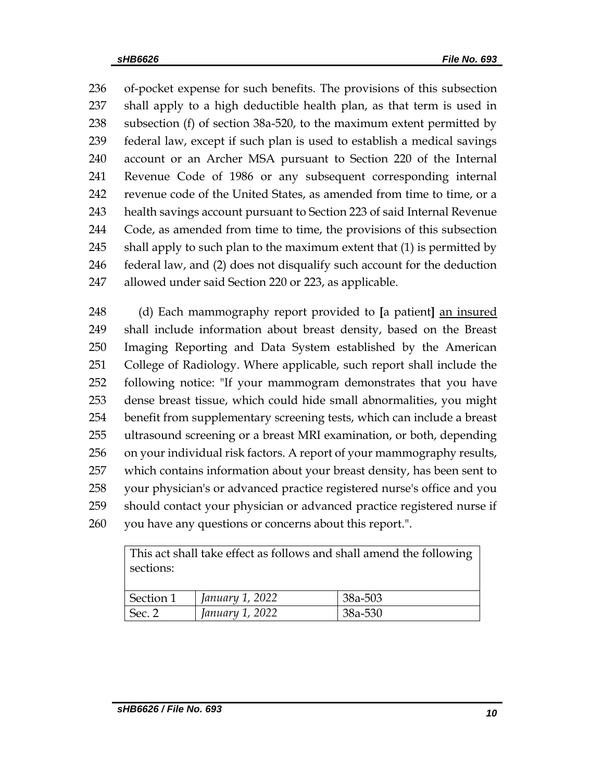of-pocket expense for such benefits. The provisions of this subsection shall apply to a high deductible health plan, as that term is used in subsection (f) of section 38a-520, to the maximum extent permitted by federal law, except if such plan is used to establish a medical savings account or an Archer MSA pursuant to Section 220 of the Internal Revenue Code of 1986 or any subsequent corresponding internal revenue code of the United States, as amended from time to time, or a health savings account pursuant to Section 223 of said Internal Revenue Code, as amended from time to time, the provisions of this subsection 245 shall apply to such plan to the maximum extent that (1) is permitted by federal law, and (2) does not disqualify such account for the deduction allowed under said Section 220 or 223, as applicable.

 (d) Each mammography report provided to **[**a patient**]** an insured shall include information about breast density, based on the Breast Imaging Reporting and Data System established by the American College of Radiology. Where applicable, such report shall include the following notice: "If your mammogram demonstrates that you have dense breast tissue, which could hide small abnormalities, you might benefit from supplementary screening tests, which can include a breast ultrasound screening or a breast MRI examination, or both, depending on your individual risk factors. A report of your mammography results, which contains information about your breast density, has been sent to your physician's or advanced practice registered nurse's office and you should contact your physician or advanced practice registered nurse if you have any questions or concerns about this report.".

| This act shall take effect as follows and shall amend the following  <br>sections: |                 |         |  |
|------------------------------------------------------------------------------------|-----------------|---------|--|
| Section 1                                                                          | January 1, 2022 | 38a-503 |  |
| $\left  \right.$ Sec. 2                                                            | January 1, 2022 | 38a-530 |  |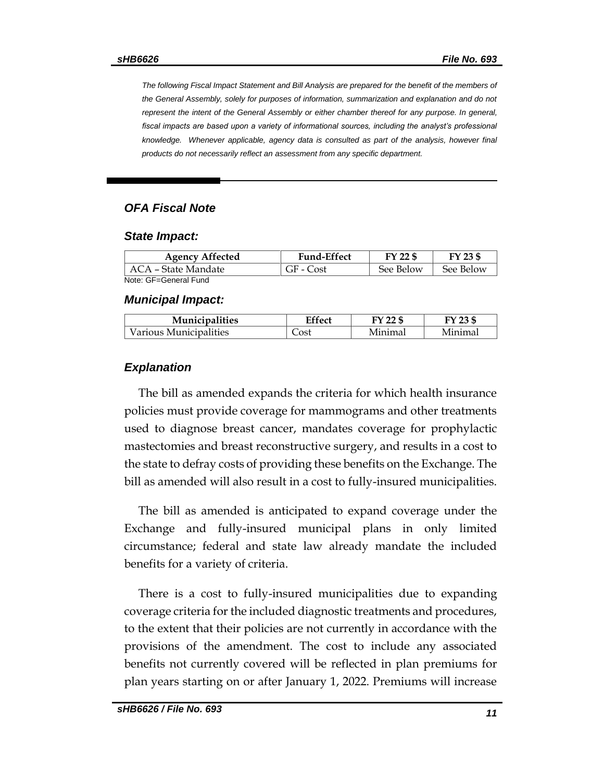*The following Fiscal Impact Statement and Bill Analysis are prepared for the benefit of the members of the General Assembly, solely for purposes of information, summarization and explanation and do not represent the intent of the General Assembly or either chamber thereof for any purpose. In general,*  fiscal impacts are based upon a variety of informational sources, including the analyst's professional *knowledge. Whenever applicable, agency data is consulted as part of the analysis, however final products do not necessarily reflect an assessment from any specific department.*

#### *OFA Fiscal Note*

#### *State Impact:*

| <b>Agency Affected</b> | <b>Fund-Effect</b> | FY 22 \$  | FY 23 \$  |
|------------------------|--------------------|-----------|-----------|
| ACA – State Mandate    | GF - Cost          | See Below | See Below |
| Note: GF=General Fund  |                    |           |           |

#### *Municipal Impact:*

| <b>Municipalities</b>  | Effect | FY 22 \$ | FY 23 \$ |
|------------------------|--------|----------|----------|
| Various Municipalities | Cost   | Minimal  | Minimal  |

#### *Explanation*

The bill as amended expands the criteria for which health insurance policies must provide coverage for mammograms and other treatments used to diagnose breast cancer, mandates coverage for prophylactic mastectomies and breast reconstructive surgery, and results in a cost to the state to defray costs of providing these benefits on the Exchange. The bill as amended will also result in a cost to fully-insured municipalities.

The bill as amended is anticipated to expand coverage under the Exchange and fully-insured municipal plans in only limited circumstance; federal and state law already mandate the included benefits for a variety of criteria.

There is a cost to fully-insured municipalities due to expanding coverage criteria for the included diagnostic treatments and procedures, to the extent that their policies are not currently in accordance with the provisions of the amendment. The cost to include any associated benefits not currently covered will be reflected in plan premiums for plan years starting on or after January 1, 2022. Premiums will increase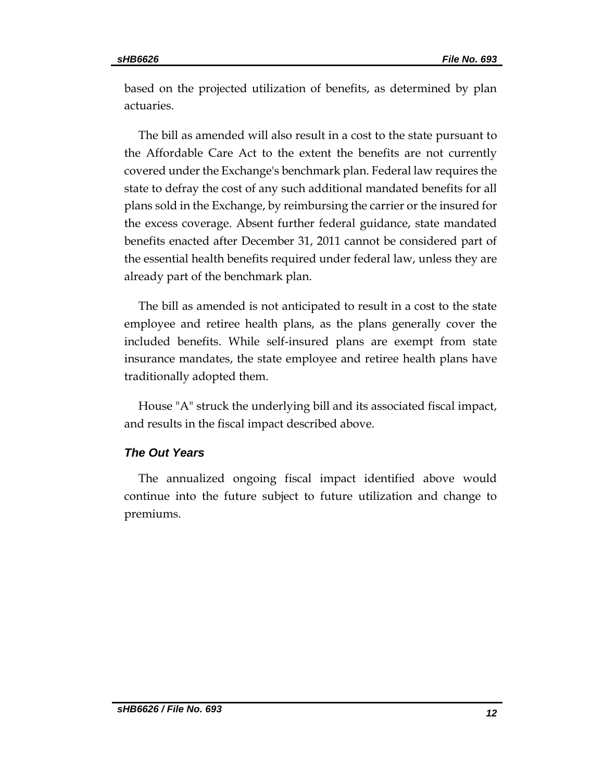based on the projected utilization of benefits, as determined by plan actuaries.

The bill as amended will also result in a cost to the state pursuant to the Affordable Care Act to the extent the benefits are not currently covered under the Exchange's benchmark plan. Federal law requires the state to defray the cost of any such additional mandated benefits for all plans sold in the Exchange, by reimbursing the carrier or the insured for the excess coverage. Absent further federal guidance, state mandated benefits enacted after December 31, 2011 cannot be considered part of the essential health benefits required under federal law, unless they are already part of the benchmark plan.

The bill as amended is not anticipated to result in a cost to the state employee and retiree health plans, as the plans generally cover the included benefits. While self-insured plans are exempt from state insurance mandates, the state employee and retiree health plans have traditionally adopted them.

House "A" struck the underlying bill and its associated fiscal impact, and results in the fiscal impact described above.

#### *The Out Years*

The annualized ongoing fiscal impact identified above would continue into the future subject to future utilization and change to premiums.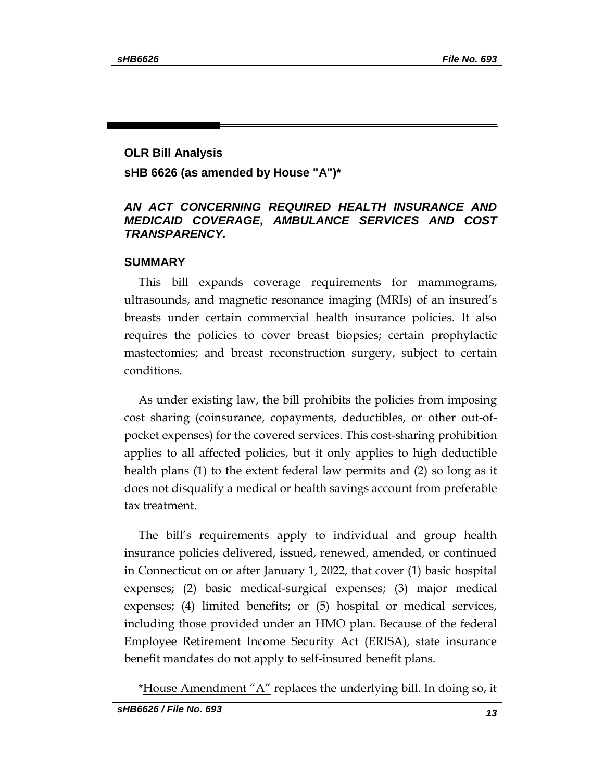## **OLR Bill Analysis sHB 6626 (as amended by House "A")\***

#### *AN ACT CONCERNING REQUIRED HEALTH INSURANCE AND MEDICAID COVERAGE, AMBULANCE SERVICES AND COST TRANSPARENCY.*

#### **SUMMARY**

This bill expands coverage requirements for mammograms, ultrasounds, and magnetic resonance imaging (MRIs) of an insured's breasts under certain commercial health insurance policies. It also requires the policies to cover breast biopsies; certain prophylactic mastectomies; and breast reconstruction surgery, subject to certain conditions.

As under existing law, the bill prohibits the policies from imposing cost sharing (coinsurance, copayments, deductibles, or other out-ofpocket expenses) for the covered services. This cost-sharing prohibition applies to all affected policies, but it only applies to high deductible health plans (1) to the extent federal law permits and (2) so long as it does not disqualify a medical or health savings account from preferable tax treatment.

The bill's requirements apply to individual and group health insurance policies delivered, issued, renewed, amended, or continued in Connecticut on or after January 1, 2022, that cover (1) basic hospital expenses; (2) basic medical-surgical expenses; (3) major medical expenses; (4) limited benefits; or (5) hospital or medical services, including those provided under an HMO plan. Because of the federal Employee Retirement Income Security Act (ERISA), state insurance benefit mandates do not apply to self-insured benefit plans.

\*House Amendment "A" replaces the underlying bill. In doing so, it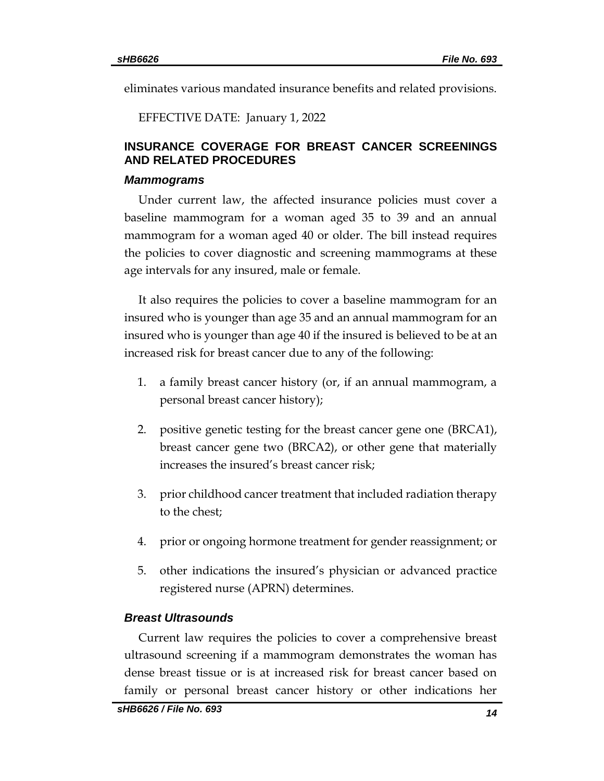eliminates various mandated insurance benefits and related provisions.

EFFECTIVE DATE: January 1, 2022

## **INSURANCE COVERAGE FOR BREAST CANCER SCREENINGS AND RELATED PROCEDURES**

#### *Mammograms*

Under current law, the affected insurance policies must cover a baseline mammogram for a woman aged 35 to 39 and an annual mammogram for a woman aged 40 or older. The bill instead requires the policies to cover diagnostic and screening mammograms at these age intervals for any insured, male or female.

It also requires the policies to cover a baseline mammogram for an insured who is younger than age 35 and an annual mammogram for an insured who is younger than age 40 if the insured is believed to be at an increased risk for breast cancer due to any of the following:

- 1. a family breast cancer history (or, if an annual mammogram, a personal breast cancer history);
- 2. positive genetic testing for the breast cancer gene one (BRCA1), breast cancer gene two (BRCA2), or other gene that materially increases the insured's breast cancer risk;
- 3. prior childhood cancer treatment that included radiation therapy to the chest;
- 4. prior or ongoing hormone treatment for gender reassignment; or
- 5. other indications the insured's physician or advanced practice registered nurse (APRN) determines.

#### *Breast Ultrasounds*

Current law requires the policies to cover a comprehensive breast ultrasound screening if a mammogram demonstrates the woman has dense breast tissue or is at increased risk for breast cancer based on family or personal breast cancer history or other indications her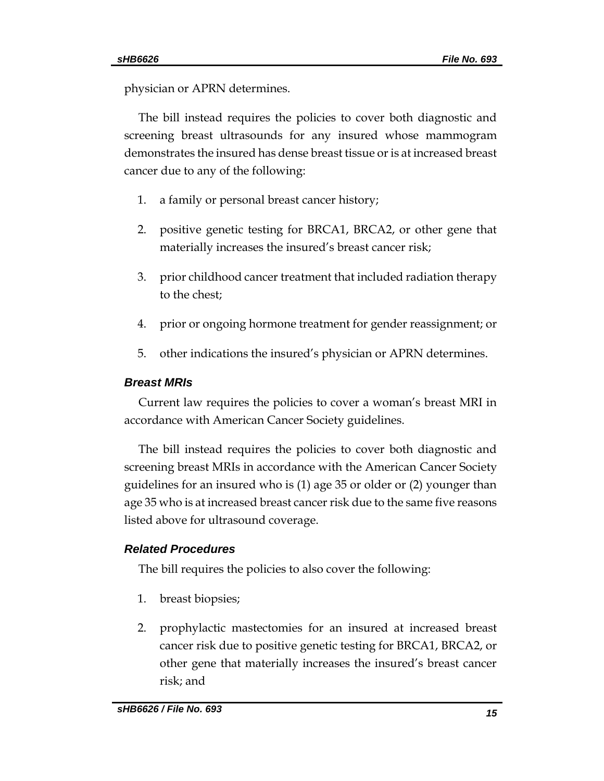physician or APRN determines.

The bill instead requires the policies to cover both diagnostic and screening breast ultrasounds for any insured whose mammogram demonstrates the insured has dense breast tissue or is at increased breast cancer due to any of the following:

- 1. a family or personal breast cancer history;
- 2. positive genetic testing for BRCA1, BRCA2, or other gene that materially increases the insured's breast cancer risk;
- 3. prior childhood cancer treatment that included radiation therapy to the chest;
- 4. prior or ongoing hormone treatment for gender reassignment; or
- 5. other indications the insured's physician or APRN determines.

### *Breast MRIs*

Current law requires the policies to cover a woman's breast MRI in accordance with American Cancer Society guidelines.

The bill instead requires the policies to cover both diagnostic and screening breast MRIs in accordance with the American Cancer Society guidelines for an insured who is (1) age 35 or older or (2) younger than age 35 who is at increased breast cancer risk due to the same five reasons listed above for ultrasound coverage.

## *Related Procedures*

The bill requires the policies to also cover the following:

- 1. breast biopsies;
- 2. prophylactic mastectomies for an insured at increased breast cancer risk due to positive genetic testing for BRCA1, BRCA2, or other gene that materially increases the insured's breast cancer risk; and